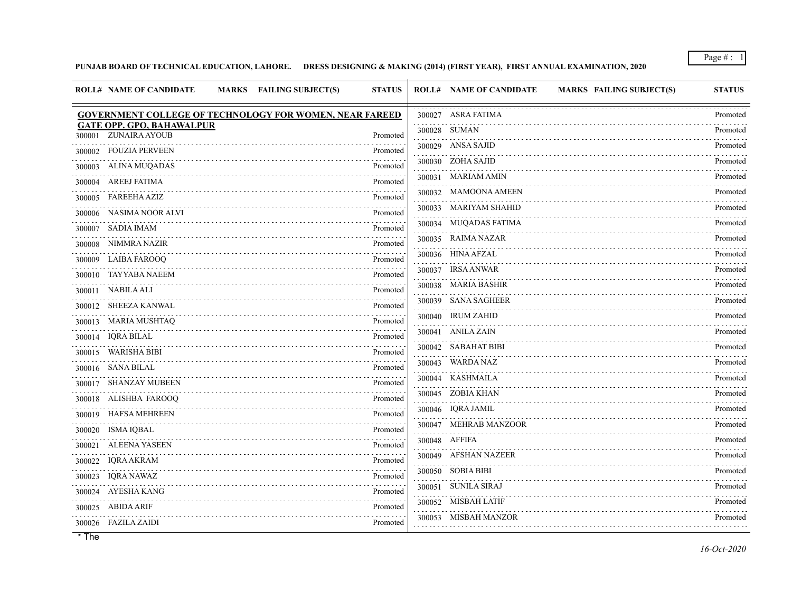**PUNJAB BOARD OF TECHNICAL EDUCATION, LAHORE. DRESS DESIGNING & MAKING (2014) (FIRST YEAR), FIRST ANNUAL EXAMINATION, 2020**

| <b>ROLL# NAME OF CANDIDATE</b><br>MARKS FAILING SUBJECT(S)     | <b>STATUS</b>                                    | <b>ROLL# NAME OF CANDIDATE</b><br><b>MARKS FAILING SUBJECT(S)</b> | <b>STATUS</b> |
|----------------------------------------------------------------|--------------------------------------------------|-------------------------------------------------------------------|---------------|
| <b>GOVERNMENT COLLEGE OF TECHNOLOGY FOR WOMEN, NEAR FAREED</b> |                                                  | 300027 ASRA FATIMA                                                | Promoted      |
| <b>GATE OPP. GPO, BAHAWALPUR</b><br>300001 ZUNAIRA AYOUB       | Promoted                                         | 300028 SUMAN                                                      | Promoted      |
| FOUZIA PERVEEN<br>300002                                       | .<br>Promoted                                    | 300029 ANSA SAJID                                                 | Promoted      |
| ALINA MUQADAS<br>300003                                        | Promoted                                         | 300030 ZOHA SAJID                                                 | Promoted      |
| 300004 AREEJ FATIMA                                            | Promoted                                         | 300031 MARIAM AMIN                                                | Promoted      |
| <b>FAREEHA AZIZ</b><br>300005                                  | Promoted                                         | 300032 MAMOONA AMEEN                                              | Promoted      |
| 300006 NASIMA NOOR ALVI                                        | Promoted                                         | 300033 MARIYAM SHAHID                                             | Promoted      |
| 300007 SADIA IMAM                                              | Promoted                                         | 300034 MUQADAS FATIMA                                             | Promoted      |
| 300008 NIMMRA NAZIR                                            | Promoted                                         | 300035 RAIMA NAZAR                                                | Promoted      |
| 300009 LAIBA FAROOQ                                            | .<br>Promoted                                    | 300036 HINA AFZAL                                                 | Promoted      |
| 300010 TAYYABA NAEEM                                           | $\omega$ is a discussion of $\omega$<br>Promoted | 300037 IRSA ANWAR                                                 | Promoted      |
| NABILA ALI<br>300011                                           | Promoted                                         | 300038 MARIA BASHIR                                               | Promoted      |
| 300012 SHEEZA KANWAL                                           | Promoted                                         | 300039 SANA SAGHEER                                               | Promoted      |
| 300013 MARIA MUSHTAQ                                           | Promoted                                         | 300040 IRUM ZAHID                                                 | Promoted      |
| 300014 IQRA BILAL                                              | Promoted                                         | 300041 ANILA ZAIN                                                 | Promoted      |
| 300015 WARISHA BIBI                                            | Promoted                                         | 300042 SABAHAT BIBI                                               | Promoted      |
| 300016 SANA BILAL                                              | Promoted                                         | 300043 WARDA NAZ                                                  | Promoted      |
| 300017 SHANZAY MUBEEN                                          | .<br>Promoted                                    | 300044 KASHMAILA                                                  | Promoted      |
| 300018 ALISHBA FAROOQ                                          | Promoted                                         | 300045 ZOBIA KHAN                                                 | Promoted      |
| 300019 HAFSA MEHREEN                                           | Promoted                                         | 300046 IQRA JAMIL                                                 | Promoted      |
| 300020 ISMA IQBAL                                              | Promoted                                         | 300047 MEHRAB MANZOOR                                             | Promoted      |
| 300021 ALEENA YASEEN                                           | Promoted                                         | 300048 AFFIFA                                                     | Promoted      |
| 300022 IQRA AKRAM                                              | Promoted                                         | 300049 AFSHAN NAZEER                                              | Promoted      |
| 300023 IQRA NAWAZ                                              | Promoted                                         | 300050 SOBIA BIBI                                                 | Promoted      |
| 300024 AYESHA KANG                                             | Promoted                                         | 300051 SUNILA SIRAJ                                               | Promoted<br>. |
| 300025 ABIDA ARIF                                              | Promoted                                         | 300052 MISBAH LATIF                                               | Promoted      |
| 300026 FAZILA ZAIDI                                            | Promoted                                         | 300053 MISBAH MANZOR                                              | Promoted      |
|                                                                |                                                  |                                                                   |               |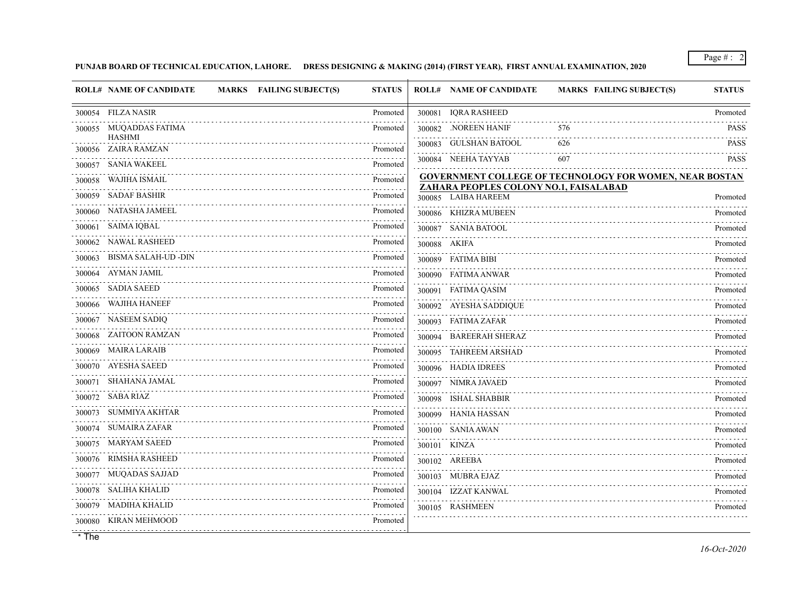## **PUNJAB BOARD OF TECHNICAL EDUCATION, LAHORE. DRESS DESIGNING & MAKING (2014) (FIRST YEAR), FIRST ANNUAL EXAMINATION, 2020**

|        | <b>ROLL# NAME OF CANDIDATE</b>          | MARKS FAILING SUBJECT(S) | <b>STATUS</b>                    |        | <b>ROLL# NAME OF CANDIDATE</b>                                | <b>MARKS FAILING SUBJECT(S)</b>                                | <b>STATUS</b> |
|--------|-----------------------------------------|--------------------------|----------------------------------|--------|---------------------------------------------------------------|----------------------------------------------------------------|---------------|
|        | 300054 FILZA NASIR                      |                          | Promoted                         | 300081 | <b>IQRA RASHEED</b>                                           |                                                                | Promoted      |
|        | 300055 MUQADDAS FATIMA<br><b>HASHMI</b> |                          | Promoted                         |        | 300082 .NOREEN HANIF                                          | 576                                                            | <b>PASS</b>   |
|        | 300056 ZAIRA RAMZAN                     |                          | Promoted                         |        | 300083 GULSHAN BATOOL                                         | 626                                                            | <b>PASS</b>   |
| 300057 | SANIA WAKEEL                            |                          | Promoted                         |        | 300084 NEEHA TAYYAB                                           | 607                                                            | <b>PASS</b>   |
| 300058 | WAJIHA ISMAIL                           |                          | Promoted                         |        |                                                               | <b>GOVERNMENT COLLEGE OF TECHNOLOGY FOR WOMEN, NEAR BOSTAN</b> |               |
| 300059 | SADAF BASHIR                            |                          | $\omega$ is a set of<br>Promoted |        | ZAHARA PEOPLES COLONY NO.1, FAISALABAD<br>300085 LAIBA HAREEM |                                                                | Promoted      |
| 300060 | NATASHA JAMEEL                          |                          | Promoted                         |        | 300086 KHIZRA MUBEEN                                          |                                                                | Promoted      |
| 300061 | SAIMA IQBAL                             |                          | Promoted                         |        | 300087 SANIA BATOOL                                           |                                                                | Promoted      |
| 300062 | NAWAL RASHEED                           |                          | Promoted                         |        | 300088 AKIFA                                                  |                                                                | Promoted      |
| 300063 | BISMA SALAH-UD -DIN                     |                          | Promoted                         |        | 300089 FATIMA BIBI                                            |                                                                | Promoted      |
| 300064 | AYMAN JAMIL                             |                          | Promoted                         |        | 300090 FATIMA ANWAR                                           |                                                                | Promoted      |
| 300065 | SADIA SAEED                             |                          | Promoted                         |        | 300091 FATIMA QASIM                                           |                                                                | Promoted      |
|        | 300066 WAJIHA HANEEF                    |                          | Promoted                         |        | 300092 AYESHA SADDIQUE                                        |                                                                | Promoted      |
| 300067 | NASEEM SADIQ                            |                          | Promoted                         |        | 300093 FATIMA ZAFAR                                           |                                                                | Promoted      |
| 300068 | ZAITOON RAMZAN                          |                          | Promoted                         |        | 300094 BAREERAH SHERAZ                                        |                                                                | Promoted      |
|        | 300069 MAIRA LARAIB                     |                          | Promoted                         |        | 300095 TAHREEM ARSHAD                                         |                                                                | Promoted      |
|        | 300070 AYESHA SAEED                     |                          | Promoted                         |        | 300096 HADIA IDREES                                           |                                                                | Promoted      |
|        | 300071 SHAHANA JAMAL                    |                          | Promoted                         |        | 300097 NIMRA JAVAED                                           |                                                                | Promoted      |
| 300072 | SABA RIAZ                               |                          | Promoted                         |        | 300098 ISHAL SHABBIR                                          |                                                                | Promoted      |
| 300073 | SUMMIYA AKHTAR                          |                          | Promoted                         |        | 300099 HANIA HASSAN                                           |                                                                | Promoted      |
| 300074 | SUMAIRA ZAFAR                           |                          | Promoted                         |        | 300100 SANIA AWAN                                             |                                                                | Promoted      |
| 300075 | <b>MARYAM SAEED</b>                     |                          | Promoted                         |        | 300101 KINZA                                                  |                                                                | Promoted      |
|        | 300076 RIMSHA RASHEED                   |                          | Promoted                         |        | 300102 AREEBA                                                 |                                                                | Promoted      |
| 300077 | MUQADAS SAJJAD                          |                          | Promoted                         |        | 300103 MUBRA EJAZ                                             |                                                                | Promoted      |
|        | 300078 SALIHA KHALID                    |                          | Promoted                         |        | 300104 IZZAT KANWAL                                           |                                                                | Promoted      |
| 300079 | MADIHA KHALID                           |                          | Promoted                         |        | 300105 RASHMEEN                                               |                                                                | Promoted      |
|        | 300080 KIRAN MEHMOOD                    |                          | Promoted                         |        |                                                               |                                                                |               |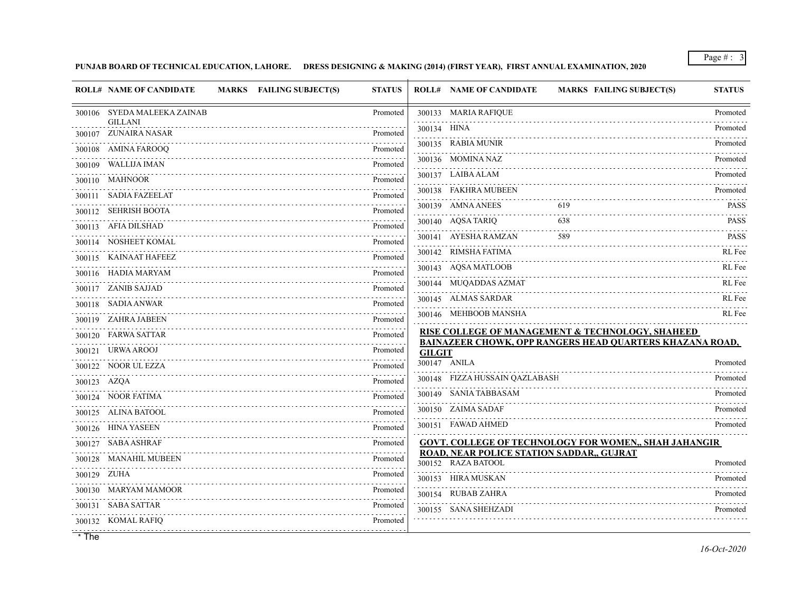**PUNJAB BOARD OF TECHNICAL EDUCATION, LAHORE. DRESS DESIGNING & MAKING (2014) (FIRST YEAR), FIRST ANNUAL EXAMINATION, 2020**

|             | <b>ROLL# NAME OF CANDIDATE</b>         | MARKS FAILING SUBJECT(S) | <b>STATUS</b>               |               | <b>ROLL# NAME OF CANDIDATE</b>                                  | MARKS FAILING SUBJECT(S)                                     | <b>STATUS</b>    |
|-------------|----------------------------------------|--------------------------|-----------------------------|---------------|-----------------------------------------------------------------|--------------------------------------------------------------|------------------|
|             | 300106 SYEDA MALEEKA ZAINAB            |                          | Promoted                    |               | 300133 MARIA RAFIQUE                                            |                                                              | Promoted         |
|             | <b>GILLANI</b><br>300107 ZUNAIRA NASAR |                          | Promoted                    | 300134 HINA   |                                                                 |                                                              | Promoted         |
|             | 300108 AMINA FAROOQ                    |                          | Promoted                    |               | 300135 RABIA MUNIR                                              |                                                              | Promoted         |
|             | 300109 WALLIJA IMAN                    |                          | Promoted                    |               | 300136 MOMINA NAZ                                               |                                                              | Promoted         |
|             | 300110 MAHNOOR                         |                          | Promoted                    |               | 300137 LAIBA ALAM                                               |                                                              | Promoted         |
|             | 300111 SADIA FAZEELAT                  |                          | Promoted                    |               | 300138 FAKHRA MUBEEN                                            |                                                              | Promoted         |
|             | 300112 SEHRISH BOOTA                   |                          | Promoted                    |               | 300139 AMNA ANEES                                               | 619                                                          | <b>PASS</b>      |
|             | 300113 AFIA DILSHAD                    |                          | 222222<br>Promoted          |               | 300140 AQSA TARIQ                                               | 638                                                          | <b>PASS</b>      |
|             | 300114 NOSHEET KOMAL                   |                          | Promoted                    |               | 300141 AYESHA RAMZAN                                            | 589                                                          | <b>PASS</b><br>. |
|             | 300115 KAINAAT HAFEEZ                  |                          | .<br>Promoted               |               | 300142 RIMSHA FATIMA                                            |                                                              | RL Fee           |
|             | 300116 HADIA MARYAM                    |                          | Promoted                    |               | 300143 AQSA MATLOOB                                             |                                                              | RL Fee           |
|             | 300117 ZANIB SAJJAD                    |                          | Promoted                    |               | 300144 MUQADDAS AZMAT                                           |                                                              | RL Fee           |
|             | 300118 SADIA ANWAR                     |                          | Promoted                    |               | 300145 ALMAS SARDAR                                             |                                                              | RL Fee           |
|             | 300119 ZAHRA JABEEN                    |                          | Promoted                    |               | 300146 MEHBOOB MANSHA                                           |                                                              | RL Fee           |
|             | 300120 FARWA SATTAR                    |                          | المتحدث المنابي<br>Promoted |               |                                                                 | RISE COLLEGE OF MANAGEMENT & TECHNOLOGY, SHAHEED             |                  |
|             | 300121 URWA AROOJ                      |                          | .<br>Promoted               | <b>GILGIT</b> |                                                                 | BAINAZEER CHOWK, OPP RANGERS HEAD QUARTERS KHAZANA ROAD,     |                  |
|             | 300122 NOOR UL EZZA                    |                          | Promoted                    |               | 300147 ANILA                                                    |                                                              | Promoted         |
| 300123 AZQA |                                        |                          | Promoted                    |               | 300148 FIZZA HUSSAIN QAZLABASH                                  |                                                              | Promoted         |
|             | 300124 NOOR FATIMA                     |                          | Promoted                    |               | 300149 SANIA TABBASAM                                           |                                                              | Promoted         |
|             | 300125 ALINA BATOOL                    |                          | Promoted                    |               | 300150 ZAIMA SADAF                                              |                                                              | Promoted         |
|             | 300126 HINA YASEEN                     |                          | Promoted                    |               | 300151 FAWAD AHMED                                              |                                                              | Promoted         |
|             | 300127 SABA ASHRAF                     |                          | .<br>Promoted               |               |                                                                 | <b>GOVT. COLLEGE OF TECHNOLOGY FOR WOMEN,, SHAH JAHANGIR</b> |                  |
|             | 300128 MANAHIL MUBEEN                  |                          | .<br>Promoted               |               | ROAD, NEAR POLICE STATION SADDAR,, GUJRAT<br>300152 RAZA BATOOL |                                                              | Promoted         |
| 300129 ZUHA |                                        |                          | Promoted                    |               | 300153 HIRA MUSKAN                                              |                                                              | Promoted         |
|             | 300130 MARYAM MAMOOR                   |                          | Promoted                    |               | 300154 RUBAB ZAHRA                                              |                                                              | Promoted         |
|             | 300131 SABA SATTAR                     |                          | Promoted                    |               | 300155 SANA SHEHZADI                                            |                                                              | Promoted         |
|             | 300132 KOMAL RAFIQ                     |                          | Promoted                    |               |                                                                 |                                                              |                  |
|             |                                        |                          |                             |               |                                                                 |                                                              |                  |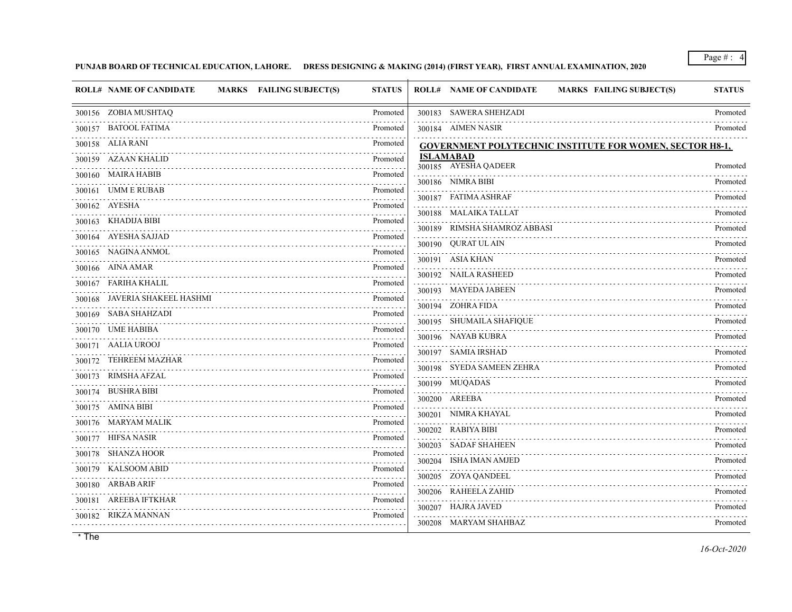## **PUNJAB BOARD OF TECHNICAL EDUCATION, LAHORE. DRESS DESIGNING & MAKING (2014) (FIRST YEAR), FIRST ANNUAL EXAMINATION, 2020**

| 300183 SAWERA SHEHZADI<br>300156 ZOBIA MUSHTAQ<br>Promoted                               | Promoted      |
|------------------------------------------------------------------------------------------|---------------|
|                                                                                          |               |
| 300157 BATOOL FATIMA<br>300184 AIMEN NASIR<br>Promoted                                   | Promoted      |
| 300158 ALIA RANI<br>Promoted<br>GOVERNMENT POLYTECHNIC INSTITUTE FOR WOMEN, SECTOR H8-1, |               |
| <b>ISLAMABAD</b><br>300159 AZAAN KHALID<br>Promoted<br>300185 AYESHA QADEER<br>.         | Promoted      |
| 300160 MAIRA HABIB<br>Promoted<br>300186 NIMRA BIBI                                      | Promoted      |
| UMM E RUBAB<br>Promoted<br>300161<br>300187 FATIMA ASHRAF                                | Promoted      |
| 300162 AYESHA<br>Promoted<br>300188 MALAIKA TALLAT                                       | Promoted      |
| 300163 KHADIJA BIBI<br>Promoted<br>300189 RIMSHA SHAMROZ ABBASI                          | Promoted      |
| 300164 AYESHA SAJJAD<br>Promoted<br>300190 QURAT UL AIN                                  | Promoted      |
| 300165 NAGINA ANMOL<br>Promoted<br>.<br>300191 ASIA KHAN                                 | Promoted      |
| 300166 AINA AMAR<br>Promoted<br>300192 NAILA RASHEED<br>. <b>.</b>                       | Promoted      |
| 300167 FARIHA KHALIL<br>Promoted<br>300193 MAYEDA JABEEN<br>.                            | Promoted      |
| 300168 JAVERIA SHAKEEL HASHMI<br>Promoted<br>300194 ZOHRA FIDA<br>1.1.1.1.1.1.1          | Promoted      |
| 300169 SABA SHAHZADI<br>Promoted<br>300195 SHUMAILA SHAFIQUE<br>.                        | Promoted      |
| 300170 UME HABIBA<br>Promoted<br>300196 NAYAB KUBRA                                      | Promoted      |
| 300171 AALIA UROOJ<br>Promoted<br>300197 SAMIA IRSHAD                                    | Promoted      |
| <b>TEHREEM MAZHAR</b><br>Promoted<br>300172<br>300198 SYEDA SAMEEN ZEHRA                 | Promoted      |
| 300173 RIMSHA AFZAL<br>Promoted<br>300199 MUQADAS                                        | Promoted      |
| 300174 BUSHRA BIBI<br>Promoted<br>.<br>300200 AREEBA                                     | Promoted      |
| 300175 AMINA BIBI<br>Promoted<br>300201 NIMRA KHAYAL                                     | Promoted      |
| 300176 MARYAM MALIK<br>Promoted<br>300202 RABIYA BIBI                                    | .<br>Promoted |
| 300177 HIFSA NASIR<br>Promoted<br>300203 SADAF SHAHEEN<br>.                              | Promoted      |
| 300178 SHANZA HOOR<br>Promoted<br>300204 ISHA IMAN AMJED<br><u>.</u>                     | Promoted      |
| 300179 KALSOOM ABID<br>Promoted<br>300205 ZOYA QANDEEL                                   | Promoted      |
| 300180 ARBAB ARIF<br>Promoted<br>300206 RAHEELA ZAHID                                    | Promoted      |
| AREEBA IFTKHAR<br>Promoted<br>300181<br>300207 HAJRA JAVED                               | Promoted      |
| 300182 RIKZA MANNAN<br>Promoted<br>300208 MARYAM SHAHBAZ                                 | Promoted      |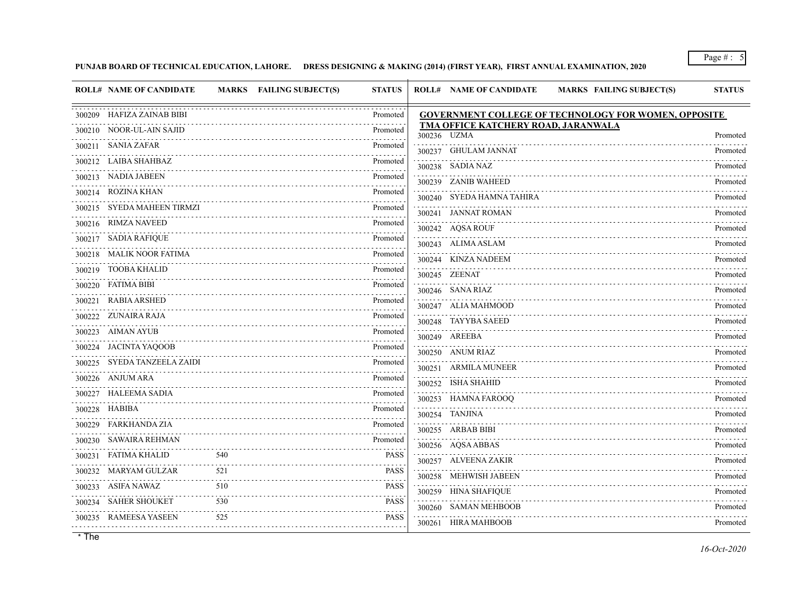### **PUNJAB BOARD OF TECHNICAL EDUCATION, LAHORE. DRESS DESIGNING & MAKING (2014) (FIRST YEAR), FIRST ANNUAL EXAMINATION, 2020**

| <b>ROLL# NAME OF CANDIDATE</b> |     | MARKS FAILING SUBJECT(S) | <b>STATUS</b> | <b>ROLL# NAME OF CANDIDATE</b><br><b>MARKS FAILING SUBJECT(S)</b> | <b>STATUS</b> |
|--------------------------------|-----|--------------------------|---------------|-------------------------------------------------------------------|---------------|
| 300209 HAFIZA ZAINAB BIBI      |     |                          | Promoted      | <b>GOVERNMENT COLLEGE OF TECHNOLOGY FOR WOMEN, OPPOSITE</b>       |               |
| 300210 NOOR-UL-AIN SAJID       |     |                          | Promoted      | TMA OFFICE KATCHERY ROAD, JARANWALA<br>300236 UZMA                | Promoted      |
| 300211 SANIA ZAFAR             |     |                          | Promoted      | 300237 GHULAM JANNAT                                              | Promoted      |
| 300212 LAIBA SHAHBAZ           |     |                          | Promoted      | 300238 SADIA NAZ                                                  | Promoted      |
| 300213 NADIA JABEEN            |     |                          | Promoted      | 300239 ZANIB WAHEED                                               | Promoted      |
| 300214 ROZINA KHAN             |     |                          | Promoted      | 300240 SYEDA HAMNA TAHIRA                                         | Promoted      |
| 300215 SYEDA MAHEEN TIRMZI     |     |                          | Promoted      | 300241 JANNAT ROMAN                                               | Promoted      |
| 300216 RIMZA NAVEED            |     |                          | Promoted      | 300242 AQSA ROUF                                                  | Promoted      |
| 300217 SADIA RAFIQUE           |     |                          | Promoted      | 300243 ALIMA ASLAM                                                | Promoted      |
| 300218 MALIK NOOR FATIMA       |     |                          | Promoted      | 300244 KINZA NADEEM                                               | Promoted      |
| 300219 TOOBA KHALID            |     |                          | Promoted      | 300245 ZEENAT                                                     | Promoted      |
| 300220 FATIMA BIBI             |     |                          | Promoted      | 300246 SANA RIAZ                                                  | Promoted      |
| RABIA ARSHED<br>300221         |     |                          | Promoted      | 300247 ALIA MAHMOOD                                               | Promoted      |
| 300222 ZUNAIRA RAJA            |     |                          | Promoted      | 300248 TAYYBA SAEED                                               | Promoted      |
| 300223 AIMAN AYUB              |     |                          | Promoted      | 300249 AREEBA                                                     | Promoted      |
| 300224 JACINTA YAQOOB          |     |                          | Promoted      | 300250 ANUM RIAZ                                                  | Promoted      |
| 300225 SYEDA TANZEELA ZAIDI    |     |                          | Promoted      | 300251 ARMILA MUNEER                                              | Promoted      |
| 300226 ANJUM ARA               |     |                          | Promoted      | 300252 ISHA SHAHID                                                | Promoted      |
| 300227 HALEEMA SADIA           |     |                          | Promoted      | 300253 HAMNA FAROOQ                                               | Promoted      |
| 300228 HABIBA                  |     |                          | Promoted<br>. | 300254 TANJINA                                                    | Promoted      |
| 300229 FARKHANDA ZIA           |     |                          | Promoted      | 300255 ARBAB BIBI                                                 | Promoted      |
| 300230 SAWAIRA REHMAN          |     |                          | Promoted      | 300256 AQSA ABBAS                                                 | Promoted      |
| FATIMA KHALID<br>300231        | 540 |                          | <b>PASS</b>   | 300257 ALVEENA ZAKIR                                              | Promoted      |
| 300232 MARYAM GULZAR           | 521 |                          | <b>PASS</b>   | 300258 MEHWISH JABEEN                                             | Promoted      |
| 300233 ASIFA NAWAZ             | 510 |                          | <b>PASS</b>   | 300259 HINA SHAFIQUE                                              | Promoted      |
| 300234 SAHER SHOUKET           | 530 |                          | <b>PASS</b>   | 300260 SAMAN MEHBOOB                                              | Promoted      |
| 300235 RAMEESA YASEEN          | 525 |                          | <b>PASS</b>   | 300261 HIRA MAHBOOB                                               | Promoted      |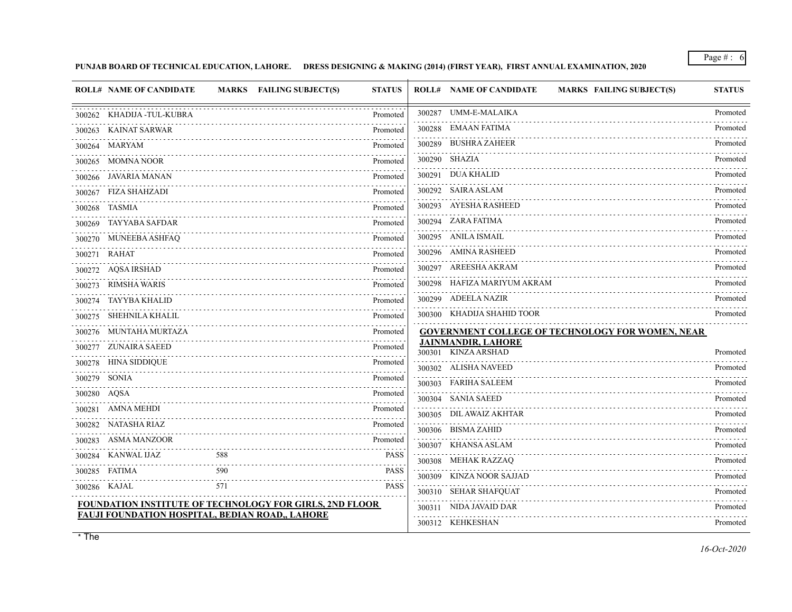### **PUNJAB BOARD OF TECHNICAL EDUCATION, LAHORE. DRESS DESIGNING & MAKING (2014) (FIRST YEAR), FIRST ANNUAL EXAMINATION, 2020**

|             | <b>ROLL# NAME OF CANDIDATE</b>                                 |                                | MARKS FAILING SUBJECT(S) | <b>STATUS</b> | <b>ROLL# NAME OF CANDIDATE</b><br><b>MARKS FAILING SUBJECT(S)</b> | <b>STATUS</b> |
|-------------|----------------------------------------------------------------|--------------------------------|--------------------------|---------------|-------------------------------------------------------------------|---------------|
|             | 300262 KHADIJA-TUL-KUBRA                                       |                                |                          | Promoted      | 300287 UMM-E-MALAIKA                                              | Promoted      |
|             | 300263 KAINAT SARWAR                                           |                                |                          | Promoted      | 300288 EMAAN FATIMA                                               | Promoted      |
|             | 300264 MARYAM                                                  |                                |                          | Promoted      | 300289 BUSHRA ZAHEER                                              | Promoted      |
|             | 300265 MOMNA NOOR                                              |                                |                          | Promoted      | 300290 SHAZIA                                                     | Promoted      |
|             | 300266 JAVARIA MANAN                                           |                                |                          | Promoted      | 300291 DUA KHALID                                                 | Promoted      |
|             | 300267 FIZA SHAHZADI                                           |                                |                          | Promoted      | 300292 SAIRA ASLAM                                                | Promoted      |
|             | 300268 TASMIA                                                  |                                |                          | Promoted      | 300293 AYESHA RASHEED                                             | Promoted      |
|             | 300269 TAYYABA SAFDAR                                          |                                |                          | Promoted      | 300294 ZARA FATIMA                                                | Promoted      |
|             | 300270 MUNEEBA ASHFAQ                                          |                                |                          | Promoted      | 300295 ANILA ISMAIL                                               | Promoted      |
|             | 300271 RAHAT                                                   |                                |                          | .<br>Promoted | 300296 AMINA RASHEED                                              | Promoted      |
|             | 300272 AQSA IRSHAD                                             |                                |                          | Promoted      | 300297 AREESHA AKRAM                                              | Promoted      |
|             | 300273 RIMSHA WARIS                                            |                                |                          | Promoted      | 300298 HAFIZA MARIYUM AKRAM                                       | Promoted      |
|             | 300274 TAYYBA KHALID                                           |                                |                          | Promoted      | 300299 ADEELA NAZIR                                               | Promoted      |
|             | 300275 SHEHNILA KHALIL                                         |                                |                          | Promoted      | 300300 KHADIJA SHAHID TOOR                                        | Promoted      |
|             | 300276 MUNTAHA MURTAZA                                         |                                |                          | Promoted      | GOVERNMENT COLLEGE OF TECHNOLOGY FOR WOMEN, NEAR                  |               |
|             | 300277 ZUNAIRA SAEED                                           |                                |                          | Promoted      | <b>JAINMANDIR, LAHORE</b><br>300301 KINZA ARSHAD                  | Promoted      |
|             | 300278 HINA SIDDIQUE                                           |                                |                          | Promoted      | 300302 ALISHA NAVEED                                              | Promoted      |
|             | 300279 SONIA                                                   |                                |                          | Promoted      | 300303 FARIHA SALEEM                                              | .<br>Promoted |
| 300280 AQSA |                                                                |                                |                          | Promoted      | 300304 SANIA SAEED                                                | Promoted      |
|             | 300281 AMNA MEHDI                                              |                                |                          | Promoted      | 300305 DIL AWAIZ AKHTAR                                           | Promoted      |
|             | 300282 NATASHA RIAZ                                            |                                |                          | Promoted      | 300306 BISMA ZAHID                                                | Promoted      |
|             | 300283 ASMA MANZOOR                                            |                                |                          | Promoted      | 300307 KHANSA ASLAM                                               | Promoted      |
|             | 300284 KANWAL IJAZ                                             | 588                            |                          | <b>PASS</b>   | 300308 MEHAK RAZZAQ                                               | Promoted      |
|             | 300285 FATIMA                                                  | 590<br>$\sim 100$ km s $^{-1}$ |                          | <b>PASS</b>   | 300309 KINZA NOOR SAJJAD                                          | Promoted      |
|             | 300286 KAJAL                                                   | 571                            |                          | <b>PASS</b>   | 300310 SEHAR SHAFQUAT                                             | Promoted      |
|             | <b>FOUNDATION INSTITUTE OF TECHNOLOGY FOR GIRLS, 2ND FLOOR</b> |                                |                          |               | 300311 NIDA JAVAID DAR                                            | Promoted      |
|             | <b>FAUJI FOUNDATION HOSPITAL, BEDIAN ROAD,, LAHORE</b>         |                                |                          |               | 300312 KEHKESHAN                                                  | Promoted      |
|             |                                                                |                                |                          |               |                                                                   |               |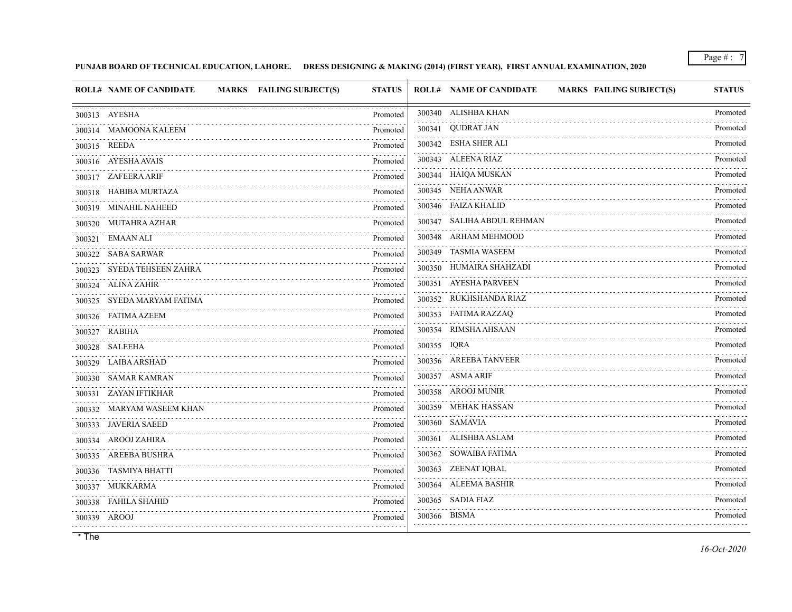### **PUNJAB BOARD OF TECHNICAL EDUCATION, LAHORE. DRESS DESIGNING & MAKING (2014) (FIRST YEAR), FIRST ANNUAL EXAMINATION, 2020**

| <b>ROLL# NAME OF CANDIDATE</b> | <b>MARKS</b> FAILING SUBJECT(S) | <b>STATUS</b>                             |             | <b>ROLL# NAME OF CANDIDATE</b><br>MARKS FAILING SUBJECT(S) | <b>STATUS</b>        |
|--------------------------------|---------------------------------|-------------------------------------------|-------------|------------------------------------------------------------|----------------------|
| 300313 AYESHA                  |                                 | Promoted                                  |             | 300340 ALISHBA KHAN                                        | Promoted             |
| 300314 MAMOONA KALEEM          |                                 | Promoted                                  |             | 300341 QUDRAT JAN                                          | Promoted             |
| 300315 REEDA                   |                                 | Promoted                                  |             | 300342 ESHA SHER ALI                                       | Promoted             |
| 300316 AYESHA AVAIS            |                                 | Promoted                                  |             | 300343 ALEENA RIAZ                                         | Promoted             |
| 300317 ZAFEERA ARIF            |                                 | Promoted                                  |             | 300344 HAIQA MUSKAN                                        | Promoted             |
| 300318 HABIBA MURTAZA          |                                 | Promoted                                  |             | 300345 NEHA ANWAR                                          | Promoted             |
| 300319 MINAHIL NAHEED          |                                 | Promoted                                  |             | 300346 FAIZA KHALID                                        | Promoted             |
| 300320 MUTAHRA AZHAR           |                                 | Promoted                                  |             | 300347 SALIHA ABDUL REHMAN                                 | Promoted             |
| 300321 EMAAN ALI               |                                 | Promoted                                  |             | 300348 ARHAM MEHMOOD                                       | Promoted             |
| 300322 SABA SARWAR             |                                 | Promoted                                  |             | 300349 TASMIA WASEEM                                       | Promoted             |
| 300323 SYEDA TEHSEEN ZAHRA     |                                 | $\omega$ is a single $\omega$<br>Promoted |             | 300350 HUMAIRA SHAHZADI                                    | Promoted             |
| 300324 ALINA ZAHIR             |                                 | .<br>Promoted                             |             | 300351 AYESHA PARVEEN                                      | Promoted             |
| 300325 SYEDA MARYAM FATIMA     |                                 | Promoted                                  |             | 300352 RUKHSHANDA RIAZ                                     | Promoted             |
| 300326 FATIMA AZEEM            |                                 | Promoted                                  |             | 300353 FATIMA RAZZAQ                                       | Promoted             |
| 300327 RABIHA                  |                                 | Promoted                                  |             | 300354 RIMSHA AHSAAN                                       | Promoted             |
| 300328 SALEEHA                 |                                 | Promoted                                  | 300355 IQRA |                                                            | Promoted             |
| 300329 LAIBA ARSHAD            |                                 | Promoted                                  |             | 300356 AREEBA TANVEER                                      | Promoted             |
| 300330 SAMAR KAMRAN            |                                 | Promoted                                  |             | 300357 ASMA ARIF                                           | Promoted             |
| 300331 ZAYAN IFTIKHAR          |                                 | Promoted                                  |             | 300358 AROOJ MUNIR                                         | Promoted             |
| 300332 MARYAM WASEEM KHAN      |                                 | 1.111111<br>Promoted                      |             | 300359 MEHAK HASSAN                                        | Promoted             |
| 300333 JAVERIA SAEED           |                                 | Promoted                                  |             | 300360 SAMAVIA                                             | Promoted             |
| 300334 AROOJ ZAHIRA            |                                 | Promoted                                  |             | 300361 ALISHBA ASLAM                                       | Promoted             |
| 300335 AREEBA BUSHRA           |                                 | Promoted                                  |             | 300362 SOWAIBA FATIMA                                      | Promoted             |
| 300336 TASMIYA BHATTI          |                                 | Promoted                                  |             | 300363 ZEENAT IQBAL                                        | Promoted             |
| 300337 MUKKARMA                |                                 | Promoted                                  |             | 300364 ALEEMA BASHIR                                       | Promoted             |
| 300338 FAHILA SHAHID           |                                 | Promoted                                  |             | 300365 SADIA FIAZ                                          | Promoted<br><u>.</u> |
| 300339 AROOJ                   |                                 | Promoted                                  |             | 300366 BISMA                                               | Promoted             |
|                                |                                 |                                           |             |                                                            |                      |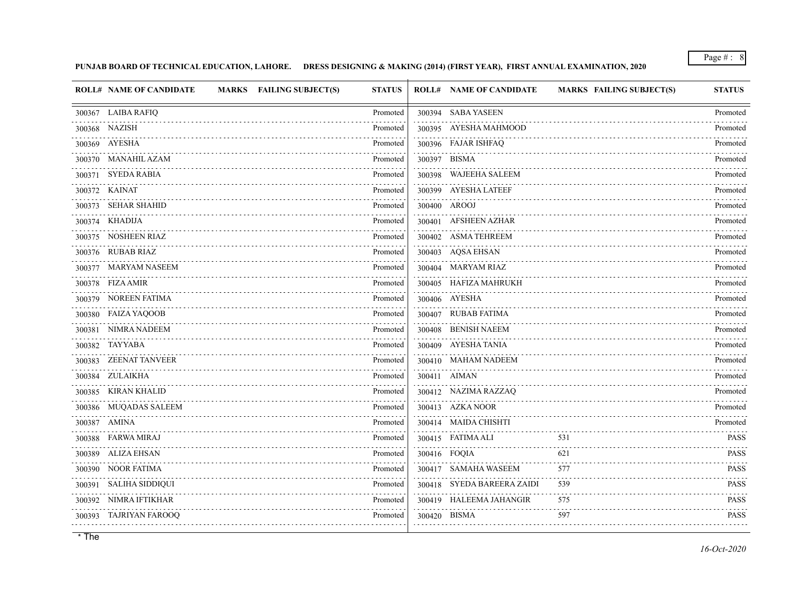**PUNJAB BOARD OF TECHNICAL EDUCATION, LAHORE. DRESS DESIGNING & MAKING (2014) (FIRST YEAR), FIRST ANNUAL EXAMINATION, 2020**

|        | <b>ROLL# NAME OF CANDIDATE</b> | <b>MARKS</b> FAILING SUBJECT(S) | <b>STATUS</b> | <b>ROLL# NAME OF CANDIDATE</b> | <b>MARKS FAILING SUBJECT(S)</b> | <b>STATUS</b>    |
|--------|--------------------------------|---------------------------------|---------------|--------------------------------|---------------------------------|------------------|
|        | 300367 LAIBA RAFIQ             |                                 | Promoted      | 300394 SABA YASEEN             |                                 | Promoted         |
|        | 300368 NAZISH                  |                                 | Promoted      | 300395 AYESHA MAHMOOD          |                                 | Promoted         |
|        | 300369 AYESHA                  |                                 | Promoted      | 300396 FAJAR ISHFAQ            |                                 | Promoted         |
|        | 300370 MANAHIL AZAM            |                                 | Promoted      | 300397 BISMA                   |                                 | Promoted         |
|        | 300371 SYEDA RABIA             |                                 | Promoted      | 300398 WAJEEHA SALEEM          |                                 | Promoted         |
|        | 300372 KAINAT                  |                                 | Promoted      | 300399 AYESHA LATEEF           |                                 | Promoted         |
|        | 300373 SEHAR SHAHID            |                                 | Promoted      | 300400 AROOJ                   |                                 | Promoted         |
|        | 300374 KHADIJA                 |                                 | Promoted      | 300401 AFSHEEN AZHAR           |                                 | Promoted         |
|        | 300375 NOSHEEN RIAZ            |                                 | Promoted      | 300402 ASMA TEHREEM            |                                 | Promoted         |
|        | 300376 RUBAB RIAZ              |                                 | Promoted      | 300403 AQSA EHSAN              |                                 | Promoted         |
|        | 300377 MARYAM NASEEM           |                                 | Promoted      | 300404 MARYAM RIAZ             |                                 | Promoted         |
|        | 300378 FIZA AMIR               |                                 | Promoted      | 300405 HAFIZA MAHRUKH          |                                 | Promoted         |
|        | 300379 NOREEN FATIMA           |                                 | Promoted      | 300406 AYESHA                  |                                 | Promoted         |
|        | 300380 FAIZA YAQOOB            |                                 | Promoted      | 300407 RUBAB FATIMA            |                                 | Promoted         |
|        | 300381 NIMRA NADEEM            |                                 | Promoted      | 300408 BENISH NAEEM            |                                 | Promoted         |
|        | 300382 TAYYABA                 |                                 | Promoted      | 300409 AYESHA TANIA            |                                 | Promoted         |
|        | 300383 ZEENAT TANVEER          |                                 | Promoted      | 300410 MAHAM NADEEM            |                                 | Promoted         |
|        | 300384 ZULAIKHA                |                                 | Promoted      | 300411 AIMAN                   |                                 | Promoted         |
|        | 300385 KIRAN KHALID            |                                 | Promoted      | 300412 NAZIMA RAZZAQ           |                                 | Promoted         |
|        | 300386 MUQADAS SALEEM          |                                 | Promoted      | 300413 AZKA NOOR               |                                 | Promoted         |
|        | 300387 AMINA                   |                                 | Promoted      | 300414 MAIDA CHISHTI           |                                 | Promoted         |
|        | 300388 FARWA MIRAJ             |                                 | Promoted      | 300415 FATIMA ALI              | 531                             | <b>PASS</b>      |
|        | 300389 ALIZA EHSAN             |                                 | Promoted      | 300416 FOQIA                   | 621                             | <b>PASS</b>      |
|        | 300390 NOOR FATIMA             |                                 | Promoted      | 300417 SAMAHA WASEEM           | 577<br>.                        | <b>PASS</b>      |
| 300391 | SALIHA SIDDIQUI                |                                 | Promoted      | 300418 SYEDA BAREERA ZAIDI     | 539                             | <b>PASS</b>      |
| 300392 | NIMRA IFTIKHAR                 |                                 | Promoted      | 300419 HALEEMA JAHANGIR        | 575                             | <b>PASS</b><br>. |
|        | 300393 TAJRIYAN FAROOQ         |                                 | Promoted      | 300420 BISMA                   | 597                             | <b>PASS</b>      |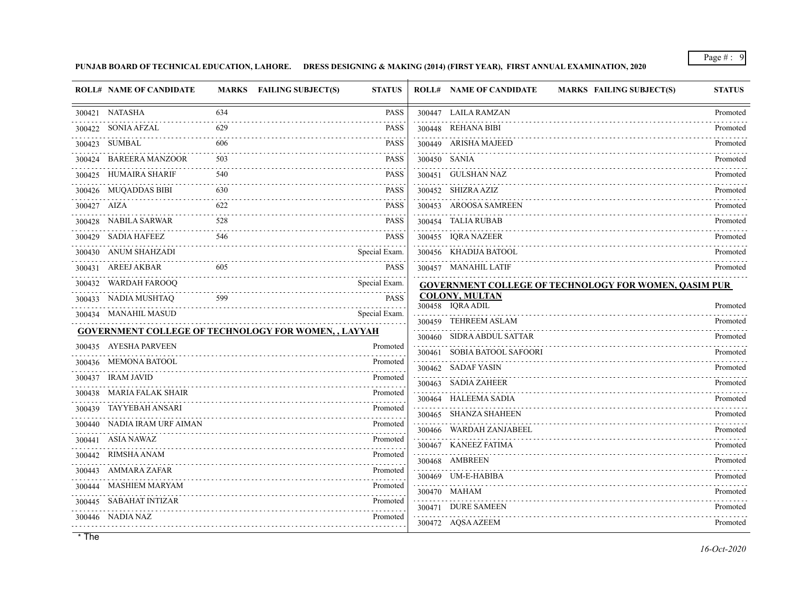**PUNJAB BOARD OF TECHNICAL EDUCATION, LAHORE. DRESS DESIGNING & MAKING (2014) (FIRST YEAR), FIRST ANNUAL EXAMINATION, 2020**

| 300447 LAILA RAMZAN<br>300421 NATASHA<br>634<br><b>PASS</b><br>629<br><b>PASS</b><br>300422 SONIA AFZAL<br>300448 REHANA BIBI<br>300423 SUMBAL<br>606<br>300449 ARISHA MAJEED<br><b>PASS</b><br>300424 BAREERA MANZOOR<br>300450 SANIA<br>503<br><b>PASS</b><br>300425 HUMAIRA SHARIF<br>540<br><b>PASS</b><br>300451 GULSHAN NAZ<br>300426 MUQADDAS BIBI<br>300452 SHIZRA AZIZ<br>630<br><b>PASS</b><br>622<br>300427 AIZA<br><b>PASS</b><br>300453 AROOSA SAMREEN<br>300428 NABILA SARWAR<br>528<br><b>PASS</b><br>300454 TALIA RUBAB<br><b>PASS</b><br>300429 SADIA HAFEEZ<br>300455 IQRA NAZEER<br>546<br>300430 ANUM SHAHZADI<br>300456 KHADIJA BATOOL<br>Special Exam.<br>300431 AREEJ AKBAR<br>605<br><b>PASS</b><br>300457 MANAHIL LATIF<br>300432 WARDAH FAROOQ<br>Special Exam.<br><b>GOVERNMENT COLLEGE OF TECHNOLOGY FOR WOMEN, QASIM PUR</b><br><b>COLONY, MULTAN</b><br>300433 NADIA MUSHTAQ<br><b>PASS</b><br>599<br>300458 IQRA ADIL<br>Special Exam.<br>300434 MANAHIL MASUD<br>300459 TEHREEM ASLAM<br><b>GOVERNMENT COLLEGE OF TECHNOLOGY FOR WOMEN, , LAYYAH</b><br>300460 SIDRA ABDUL SATTAR<br>300435 AYESHA PARVEEN<br>Promoted<br>300461 SOBIA BATOOL SAFOORI<br>300436 MEMONA BATOOL<br>Promoted<br>300462 SADAF YASIN<br>300437 IRAM JAVID<br>Promoted<br>300463 SADIA ZAHEER<br>.<br>300438 MARIA FALAK SHAIR<br>Promoted<br>300464 HALEEMA SADIA<br>300439 TAYYEBAH ANSARI<br>Promoted<br>300465 SHANZA SHAHEEN<br>300440 NADIA IRAM URF AIMAN<br>Promoted<br>300466 WARDAH ZANJABEEL<br>300441 ASIA NAWAZ<br>Promoted<br>300467 KANEEZ FATIMA<br>.<br>300442 RIMSHA ANAM<br>Promoted<br>300468 AMBREEN<br>300443 AMMARA ZAFAR<br>Promoted<br>300469 UM-E-HABIBA<br>.<br>300444 MASHIEM MARYAM<br>Promoted<br>300470 MAHAM<br>Promoted<br>300445 SABAHAT INTIZAR<br>300471 DURE SAMEEN<br>300446 NADIA NAZ<br>Promoted<br>300472 AQSA AZEEM | <b>ROLL# NAME OF CANDIDATE</b> | MARKS FAILING SUBJECT(S)<br><b>STATUS</b> | <b>ROLL# NAME OF CANDIDATE</b> | <b>MARKS FAILING SUBJECT(S)</b> | <b>STATUS</b> |
|-------------------------------------------------------------------------------------------------------------------------------------------------------------------------------------------------------------------------------------------------------------------------------------------------------------------------------------------------------------------------------------------------------------------------------------------------------------------------------------------------------------------------------------------------------------------------------------------------------------------------------------------------------------------------------------------------------------------------------------------------------------------------------------------------------------------------------------------------------------------------------------------------------------------------------------------------------------------------------------------------------------------------------------------------------------------------------------------------------------------------------------------------------------------------------------------------------------------------------------------------------------------------------------------------------------------------------------------------------------------------------------------------------------------------------------------------------------------------------------------------------------------------------------------------------------------------------------------------------------------------------------------------------------------------------------------------------------------------------------------------------------------------------------------------------------------------------------------------------------------------|--------------------------------|-------------------------------------------|--------------------------------|---------------------------------|---------------|
|                                                                                                                                                                                                                                                                                                                                                                                                                                                                                                                                                                                                                                                                                                                                                                                                                                                                                                                                                                                                                                                                                                                                                                                                                                                                                                                                                                                                                                                                                                                                                                                                                                                                                                                                                                                                                                                                         |                                |                                           |                                |                                 | Promoted      |
|                                                                                                                                                                                                                                                                                                                                                                                                                                                                                                                                                                                                                                                                                                                                                                                                                                                                                                                                                                                                                                                                                                                                                                                                                                                                                                                                                                                                                                                                                                                                                                                                                                                                                                                                                                                                                                                                         |                                |                                           |                                |                                 | .<br>Promoted |
|                                                                                                                                                                                                                                                                                                                                                                                                                                                                                                                                                                                                                                                                                                                                                                                                                                                                                                                                                                                                                                                                                                                                                                                                                                                                                                                                                                                                                                                                                                                                                                                                                                                                                                                                                                                                                                                                         |                                |                                           |                                |                                 | Promoted      |
|                                                                                                                                                                                                                                                                                                                                                                                                                                                                                                                                                                                                                                                                                                                                                                                                                                                                                                                                                                                                                                                                                                                                                                                                                                                                                                                                                                                                                                                                                                                                                                                                                                                                                                                                                                                                                                                                         |                                |                                           |                                |                                 | Promoted      |
|                                                                                                                                                                                                                                                                                                                                                                                                                                                                                                                                                                                                                                                                                                                                                                                                                                                                                                                                                                                                                                                                                                                                                                                                                                                                                                                                                                                                                                                                                                                                                                                                                                                                                                                                                                                                                                                                         |                                |                                           |                                |                                 | Promoted      |
|                                                                                                                                                                                                                                                                                                                                                                                                                                                                                                                                                                                                                                                                                                                                                                                                                                                                                                                                                                                                                                                                                                                                                                                                                                                                                                                                                                                                                                                                                                                                                                                                                                                                                                                                                                                                                                                                         |                                |                                           |                                |                                 | Promoted      |
|                                                                                                                                                                                                                                                                                                                                                                                                                                                                                                                                                                                                                                                                                                                                                                                                                                                                                                                                                                                                                                                                                                                                                                                                                                                                                                                                                                                                                                                                                                                                                                                                                                                                                                                                                                                                                                                                         |                                |                                           |                                |                                 | Promoted      |
|                                                                                                                                                                                                                                                                                                                                                                                                                                                                                                                                                                                                                                                                                                                                                                                                                                                                                                                                                                                                                                                                                                                                                                                                                                                                                                                                                                                                                                                                                                                                                                                                                                                                                                                                                                                                                                                                         |                                |                                           |                                |                                 | Promoted      |
|                                                                                                                                                                                                                                                                                                                                                                                                                                                                                                                                                                                                                                                                                                                                                                                                                                                                                                                                                                                                                                                                                                                                                                                                                                                                                                                                                                                                                                                                                                                                                                                                                                                                                                                                                                                                                                                                         |                                |                                           |                                |                                 | Promoted      |
|                                                                                                                                                                                                                                                                                                                                                                                                                                                                                                                                                                                                                                                                                                                                                                                                                                                                                                                                                                                                                                                                                                                                                                                                                                                                                                                                                                                                                                                                                                                                                                                                                                                                                                                                                                                                                                                                         |                                |                                           |                                |                                 | Promoted      |
|                                                                                                                                                                                                                                                                                                                                                                                                                                                                                                                                                                                                                                                                                                                                                                                                                                                                                                                                                                                                                                                                                                                                                                                                                                                                                                                                                                                                                                                                                                                                                                                                                                                                                                                                                                                                                                                                         |                                |                                           |                                |                                 | Promoted      |
|                                                                                                                                                                                                                                                                                                                                                                                                                                                                                                                                                                                                                                                                                                                                                                                                                                                                                                                                                                                                                                                                                                                                                                                                                                                                                                                                                                                                                                                                                                                                                                                                                                                                                                                                                                                                                                                                         |                                |                                           |                                |                                 |               |
|                                                                                                                                                                                                                                                                                                                                                                                                                                                                                                                                                                                                                                                                                                                                                                                                                                                                                                                                                                                                                                                                                                                                                                                                                                                                                                                                                                                                                                                                                                                                                                                                                                                                                                                                                                                                                                                                         |                                |                                           |                                |                                 | Promoted      |
|                                                                                                                                                                                                                                                                                                                                                                                                                                                                                                                                                                                                                                                                                                                                                                                                                                                                                                                                                                                                                                                                                                                                                                                                                                                                                                                                                                                                                                                                                                                                                                                                                                                                                                                                                                                                                                                                         |                                |                                           |                                |                                 | Promoted      |
|                                                                                                                                                                                                                                                                                                                                                                                                                                                                                                                                                                                                                                                                                                                                                                                                                                                                                                                                                                                                                                                                                                                                                                                                                                                                                                                                                                                                                                                                                                                                                                                                                                                                                                                                                                                                                                                                         |                                |                                           |                                |                                 | Promoted      |
|                                                                                                                                                                                                                                                                                                                                                                                                                                                                                                                                                                                                                                                                                                                                                                                                                                                                                                                                                                                                                                                                                                                                                                                                                                                                                                                                                                                                                                                                                                                                                                                                                                                                                                                                                                                                                                                                         |                                |                                           |                                |                                 | Promoted      |
|                                                                                                                                                                                                                                                                                                                                                                                                                                                                                                                                                                                                                                                                                                                                                                                                                                                                                                                                                                                                                                                                                                                                                                                                                                                                                                                                                                                                                                                                                                                                                                                                                                                                                                                                                                                                                                                                         |                                |                                           |                                |                                 | Promoted      |
|                                                                                                                                                                                                                                                                                                                                                                                                                                                                                                                                                                                                                                                                                                                                                                                                                                                                                                                                                                                                                                                                                                                                                                                                                                                                                                                                                                                                                                                                                                                                                                                                                                                                                                                                                                                                                                                                         |                                |                                           |                                |                                 | Promoted      |
|                                                                                                                                                                                                                                                                                                                                                                                                                                                                                                                                                                                                                                                                                                                                                                                                                                                                                                                                                                                                                                                                                                                                                                                                                                                                                                                                                                                                                                                                                                                                                                                                                                                                                                                                                                                                                                                                         |                                |                                           |                                |                                 | Promoted      |
|                                                                                                                                                                                                                                                                                                                                                                                                                                                                                                                                                                                                                                                                                                                                                                                                                                                                                                                                                                                                                                                                                                                                                                                                                                                                                                                                                                                                                                                                                                                                                                                                                                                                                                                                                                                                                                                                         |                                |                                           |                                |                                 | Promoted      |
|                                                                                                                                                                                                                                                                                                                                                                                                                                                                                                                                                                                                                                                                                                                                                                                                                                                                                                                                                                                                                                                                                                                                                                                                                                                                                                                                                                                                                                                                                                                                                                                                                                                                                                                                                                                                                                                                         |                                |                                           |                                |                                 | .<br>Promoted |
|                                                                                                                                                                                                                                                                                                                                                                                                                                                                                                                                                                                                                                                                                                                                                                                                                                                                                                                                                                                                                                                                                                                                                                                                                                                                                                                                                                                                                                                                                                                                                                                                                                                                                                                                                                                                                                                                         |                                |                                           |                                |                                 | Promoted      |
|                                                                                                                                                                                                                                                                                                                                                                                                                                                                                                                                                                                                                                                                                                                                                                                                                                                                                                                                                                                                                                                                                                                                                                                                                                                                                                                                                                                                                                                                                                                                                                                                                                                                                                                                                                                                                                                                         |                                |                                           |                                |                                 | Promoted      |
|                                                                                                                                                                                                                                                                                                                                                                                                                                                                                                                                                                                                                                                                                                                                                                                                                                                                                                                                                                                                                                                                                                                                                                                                                                                                                                                                                                                                                                                                                                                                                                                                                                                                                                                                                                                                                                                                         |                                |                                           |                                |                                 | Promoted      |
|                                                                                                                                                                                                                                                                                                                                                                                                                                                                                                                                                                                                                                                                                                                                                                                                                                                                                                                                                                                                                                                                                                                                                                                                                                                                                                                                                                                                                                                                                                                                                                                                                                                                                                                                                                                                                                                                         |                                |                                           |                                |                                 | Promoted      |
|                                                                                                                                                                                                                                                                                                                                                                                                                                                                                                                                                                                                                                                                                                                                                                                                                                                                                                                                                                                                                                                                                                                                                                                                                                                                                                                                                                                                                                                                                                                                                                                                                                                                                                                                                                                                                                                                         |                                |                                           |                                |                                 | Promoted      |
|                                                                                                                                                                                                                                                                                                                                                                                                                                                                                                                                                                                                                                                                                                                                                                                                                                                                                                                                                                                                                                                                                                                                                                                                                                                                                                                                                                                                                                                                                                                                                                                                                                                                                                                                                                                                                                                                         |                                |                                           |                                |                                 | Promoted      |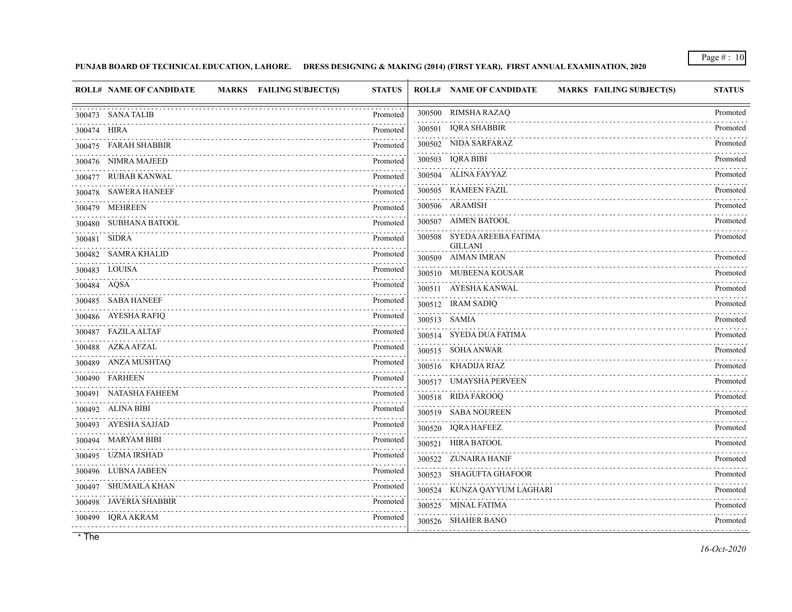## **PUNJAB BOARD OF TECHNICAL EDUCATION, LAHORE. DRESS DESIGNING & MAKING (2014) (FIRST YEAR), FIRST ANNUAL EXAMINATION, 2020**

| <b>ROLL# NAME OF CANDIDATE</b><br>MARKS FAILING SUBJECT(S) | <b>STATUS</b>                                                                  | <b>ROLL# NAME OF CANDIDATE</b><br>MARKS FAILING SUBJECT(S) | <b>STATUS</b> |
|------------------------------------------------------------|--------------------------------------------------------------------------------|------------------------------------------------------------|---------------|
| 300473 SANA TALIB                                          | Promoted                                                                       | 300500 RIMSHA RAZAQ                                        | Promoted      |
| 300474 HIRA                                                | Promoted                                                                       | 300501 IQRA SHABBIR                                        | Promoted      |
| 300475 FARAH SHABBIR                                       | Promoted                                                                       | 300502 NIDA SARFARAZ                                       | Promoted      |
| 300476 NIMRA MAJEED                                        | Promoted                                                                       | 300503 IQRA BIBI<br>.                                      | Promoted      |
| 300477 RUBAB KANWAL                                        | Promoted                                                                       | 300504 ALINA FAYYAZ                                        | Promoted<br>. |
| 300478 SAWERA HANEEF                                       | Promoted                                                                       | 300505 RAMEEN FAZIL                                        | Promoted      |
| 300479 MEHREEN                                             | Promoted                                                                       | 300506 ARAMISH                                             | Promoted      |
| 300480 SUBHANA BATOOL                                      | Promoted                                                                       | 300507 AIMEN BATOOL                                        | Promoted      |
| 300481 SIDRA                                               | $\mathbb{Z} \times \mathbb{Z} \times \mathbb{Z} \times \mathbb{Z}$<br>Promoted | 300508 SYEDA AREEBA FATIMA<br><b>GILLANI</b>               | Promoted      |
| 300482 SAMRA KHALID                                        | Promoted<br>$\mathbb{Z}$ is a single                                           | 300509 AIMAN IMRAN                                         | Promoted      |
| 300483 LOUISA                                              | Promoted                                                                       | 300510 MUBEENA KOUSAR                                      | .<br>Promoted |
| 300484 AQSA                                                | Promoted                                                                       | 300511 AYESHA KANWAL                                       | Promoted      |
| 300485 SABA HANEEF                                         | Promoted                                                                       | 300512 IRAM SADIQ                                          | Promoted      |
| 300486 AYESHA RAFIQ                                        | Promoted                                                                       | 300513 SAMIA                                               | Promoted      |
| 300487 FAZILA ALTAF                                        | Promoted                                                                       | 300514 SYEDA DUA FATIMA                                    | Promoted      |
| 300488 AZKA AFZAL                                          | Promoted                                                                       | 300515 SOHA ANWAR                                          | Promoted      |
| 300489 ANZA MUSHTAQ                                        | Promoted                                                                       | 300516 KHADIJA RIAZ                                        | Promoted      |
| 300490 FARHEEN<br>.                                        | Promoted                                                                       | 300517 UMAYSHA PERVEEN                                     | Promoted      |
| 300491 NATASHA FAHEEM                                      | Promoted                                                                       | 300518 RIDA FAROOQ                                         | Promoted      |
| 300492 ALINA BIBI                                          | Promoted                                                                       | 300519 SABA NOUREEN                                        | Promoted      |
| 300493 AYESHA SAJJAD                                       | Promoted<br>1.1.1.1.1                                                          | 300520 IQRA HAFEEZ                                         | Promoted      |
| 300494 MARYAM BIBI                                         | Promoted                                                                       | 300521 HIRA BATOOL                                         | .<br>Promoted |
| 300495 UZMA IRSHAD                                         | Promoted                                                                       | 300522 ZUNAIRA HANIF                                       | Promoted      |
| 300496 LUBNA JABEEN                                        | Promoted                                                                       | 300523 SHAGUFTA GHAFOOR                                    | Promoted      |
| 300497 SHUMAILA KHAN                                       | Promoted                                                                       | 300524 KUNZA QAYYUM LAGHARI                                | Promoted      |
| 300498 JAVERIA SHABBIR                                     | Promoted                                                                       | 300525 MINAL FATIMA                                        | Promoted      |
| 300499 IQRA AKRAM                                          | Promoted                                                                       | 300526 SHAHER BANO                                         | Promoted      |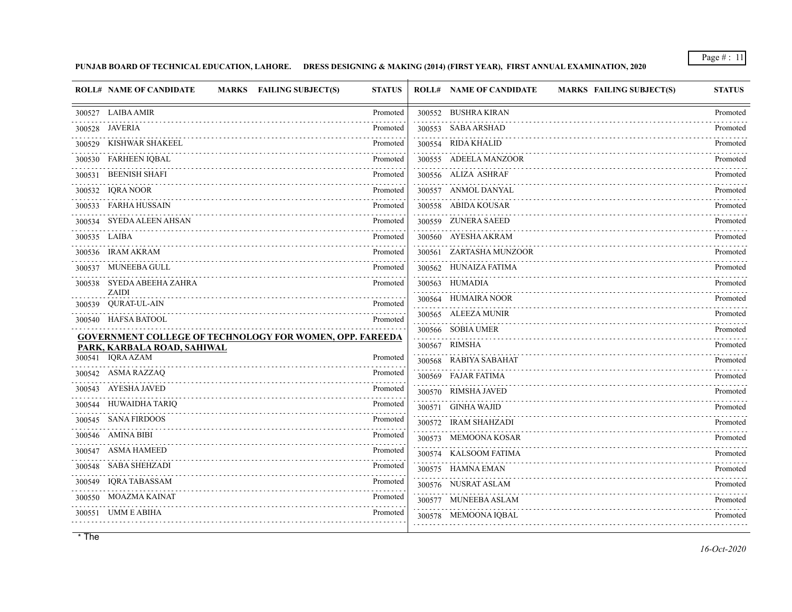**PUNJAB BOARD OF TECHNICAL EDUCATION, LAHORE. DRESS DESIGNING & MAKING (2014) (FIRST YEAR), FIRST ANNUAL EXAMINATION, 2020**

| <b>ROLL# NAME OF CANDIDATE</b>                                  | MARKS FAILING SUBJECT(S) | <b>STATUS</b>                                                      | <b>ROLL# NAME OF CANDIDATE</b> | <b>MARKS FAILING SUBJECT(S)</b> | <b>STATUS</b> |
|-----------------------------------------------------------------|--------------------------|--------------------------------------------------------------------|--------------------------------|---------------------------------|---------------|
| 300527 LAIBA AMIR                                               |                          | Promoted                                                           | 300552 BUSHRA KIRAN            |                                 | Promoted      |
| 300528 JAVERIA                                                  |                          | Promoted                                                           | 300553 SABA ARSHAD             |                                 | .<br>Promoted |
| 300529 KISHWAR SHAKEEL                                          |                          | Promoted                                                           | 300554 RIDA KHALID             |                                 | Promoted      |
| 300530 FARHEEN IQBAL                                            |                          | Promoted                                                           | 300555 ADEELA MANZOOR          |                                 | Promoted      |
| 300531 BEENISH SHAFI                                            |                          | .<br>Promoted                                                      | 300556 ALIZA ASHRAF            |                                 | Promoted      |
| 300532 IQRA NOOR                                                |                          | $\mathbb{Z}^2$ . If $\mathbb{Z}^2$ is a $\mathbb{Z}^2$<br>Promoted | 300557 ANMOL DANYAL            |                                 | Promoted      |
| 300533 FARHA HUSSAIN                                            |                          | Promoted                                                           | 300558 ABIDA KOUSAR            |                                 | Promoted      |
| 300534 SYEDA ALEEN AHSAN                                        |                          | Promoted                                                           | 300559 ZUNERA SAEED            |                                 | Promoted      |
| 300535 LAIBA                                                    |                          | Promoted                                                           | 300560 AYESHA AKRAM            |                                 | Promoted      |
| 300536 IRAM AKRAM                                               |                          | Promoted                                                           | 300561 ZARTASHA MUNZOOR        |                                 | Promoted      |
| 300537 MUNEEBA GULL                                             |                          | Promoted<br>.                                                      | 300562 HUNAIZA FATIMA          |                                 | Promoted      |
| 300538 SYEDA ABEEHA ZAHRA<br><b>ZAIDI</b>                       |                          | Promoted                                                           | 300563 HUMADIA                 |                                 | Promoted      |
| 300539 QURAT-UL-AIN                                             |                          | Promoted                                                           | 300564 HUMAIRA NOOR            |                                 | Promoted      |
| 300540 HAFSA BATOOL                                             |                          | Promoted                                                           | 300565 ALEEZA MUNIR            |                                 | Promoted      |
| <b>GOVERNMENT COLLEGE OF TECHNOLOGY FOR WOMEN, OPP. FAREEDA</b> |                          |                                                                    | 300566 SOBIA UMER              |                                 | Promoted      |
| PARK, KARBALA ROAD, SAHIWAL                                     |                          |                                                                    | 300567 RIMSHA                  |                                 | Promoted      |
| 300541 IORA AZAM                                                |                          | Promoted                                                           | 300568 RABIYA SABAHAT          |                                 | Promoted      |
| 300542 ASMA RAZZAQ                                              |                          | Promoted                                                           | 300569 FAJAR FATIMA            |                                 | Promoted      |
| 300543 AYESHA JAVED                                             |                          | Promoted<br>.                                                      | 300570 RIMSHA JAVED            |                                 | Promoted      |
| 300544 HUWAIDHA TARIQ                                           |                          | Promoted                                                           | 300571 GINHA WAJID             |                                 | Promoted      |
| 300545 SANA FIRDOOS                                             |                          | Promoted                                                           | 300572 IRAM SHAHZADI           |                                 | Promoted      |
| 300546 AMINA BIBI                                               |                          | Promoted                                                           | 300573 MEMOONA KOSAR           |                                 | Promoted      |
| 300547 ASMA HAMEED                                              |                          | Promoted                                                           | 300574 KALSOOM FATIMA          |                                 | Promoted      |
| 300548 SABA SHEHZADI                                            |                          | Promoted                                                           | 300575 HAMNA EMAN              |                                 | Promoted      |
| 300549 IQRA TABASSAM                                            |                          | Promoted                                                           | 300576 NUSRAT ASLAM            |                                 | Promoted      |
| 300550 MOAZMA KAINAT                                            |                          | Promoted                                                           | 300577 MUNEEBA ASLAM           |                                 | Promoted      |
| 300551 UMM E ABIHA                                              |                          | Promoted                                                           | 300578 MEMOONA IQBAL           |                                 | Promoted      |
|                                                                 |                          |                                                                    |                                |                                 |               |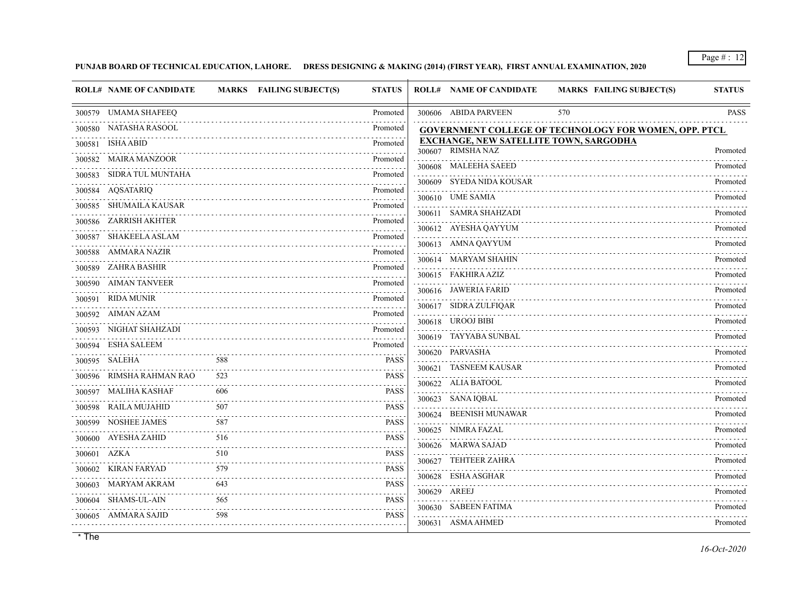# **PUNJAB BOARD OF TECHNICAL EDUCATION, LAHORE. DRESS DESIGNING & MAKING (2014) (FIRST YEAR), FIRST ANNUAL EXAMINATION, 2020**

|        | <b>ROLL# NAME OF CANDIDATE</b> |     | <b>MARKS</b> FAILING SUBJECT(S) | <b>STATUS</b>                                | <b>ROLL# NAME OF CANDIDATE</b>                                     | <b>MARKS FAILING SUBJECT(S)</b>                       | <b>STATUS</b> |
|--------|--------------------------------|-----|---------------------------------|----------------------------------------------|--------------------------------------------------------------------|-------------------------------------------------------|---------------|
|        | 300579 UMAMA SHAFEEQ           |     |                                 | Promoted                                     | 300606 ABIDA PARVEEN                                               | 570                                                   | <b>PASS</b>   |
|        | 300580 NATASHA RASOOL          |     |                                 | Promoted                                     |                                                                    | GOVERNMENT COLLEGE OF TECHNOLOGY FOR WOMEN, OPP. PTCL |               |
|        | 300581 ISHA ABID               |     |                                 | Promoted                                     | <b>EXCHANGE, NEW SATELLITE TOWN, SARGODHA</b><br>300607 RIMSHA NAZ |                                                       | Promoted      |
|        | 300582 MAIRA MANZOOR           |     |                                 | Promoted                                     | 300608 MALEEHA SAEED                                               |                                                       | Promoted      |
| 300583 | SIDRA TUL MUNTAHA              |     |                                 | Promoted                                     | 300609 SYEDA NIDA KOUSAR                                           |                                                       | Promoted      |
|        | 300584 AQSATARIQ               |     |                                 | Promoted                                     | 300610 UME SAMIA                                                   |                                                       | Promoted      |
| 300585 | SHUMAILA KAUSAR                |     |                                 | Promoted                                     | 300611 SAMRA SHAHZADI                                              |                                                       | Promoted      |
|        | 300586 ZARRISH AKHTER          |     |                                 | Promoted<br>.                                | 300612 AYESHA QAYYUM                                               |                                                       | Promoted      |
| 300587 | SHAKEELA ASLAM                 |     |                                 | Promoted                                     | 300613 AMNA QAYYUM                                                 |                                                       | Promoted      |
| 300588 | AMMARA NAZIR                   |     |                                 | Promoted                                     | 300614 MARYAM SHAHIN                                               |                                                       | Promoted      |
|        | 300589 ZAHRA BASHIR            |     |                                 | Promoted                                     | 300615 FAKHIRA AZIZ                                                |                                                       | Promoted      |
|        | 300590 AIMAN TANVEER           |     |                                 | Promoted                                     | 300616 JAWERIA FARID                                               |                                                       | Promoted      |
|        | 300591 RIDA MUNIR              |     |                                 | Promoted                                     | 300617 SIDRA ZULFIQAR                                              |                                                       | Promoted      |
|        | 300592 AIMAN AZAM              |     |                                 | Promoted                                     | 300618 UROOJ BIBI                                                  |                                                       | Promoted      |
|        | 300593 NIGHAT SHAHZADI         |     |                                 | Promoted                                     | 300619 TAYYABA SUNBAL                                              |                                                       | Promoted      |
| 300594 | ESHA SALEEM                    |     |                                 | Promoted<br>.                                | 300620 PARVASHA                                                    |                                                       | Promoted      |
|        | 300595 SALEHA                  | 588 |                                 | <b>PASS</b>                                  | 300621 TASNEEM KAUSAR                                              |                                                       | Promoted      |
|        | 300596 RIMSHA RAHMAN RAO       | 523 |                                 | <b>PASS</b>                                  | 300622 ALIA BATOOL                                                 |                                                       | Promoted      |
|        | 300597 MALIHA KASHAF           | 606 |                                 | <b>PASS</b><br>$\omega$ is a set of $\omega$ | 300623 SANA IOBAL                                                  |                                                       | Promoted      |
| 300598 | RAILA MUJAHID                  | 507 |                                 | <b>PASS</b>                                  | 300624 BEENISH MUNAWAR                                             |                                                       | Promoted      |
| 300599 | NOSHEE JAMES                   | 587 |                                 | <b>PASS</b><br>a sa s                        | 300625 NIMRA FAZAL                                                 |                                                       | Promoted      |
|        | 300600 AYESHA ZAHID            | 516 |                                 | <b>PASS</b>                                  | 300626 MARWA SAJAD                                                 |                                                       | Promoted      |
|        | 300601 AZKA                    | 510 |                                 | <b>PASS</b>                                  | 300627 TEHTEER ZAHRA                                               |                                                       | Promoted      |
| 300602 | KIRAN FARYAD                   | 579 |                                 | <b>PASS</b>                                  | 300628 ESHA ASGHAR                                                 |                                                       | Promoted      |
| 300603 | MARYAM AKRAM                   | 643 |                                 | <b>PASS</b>                                  | 300629 AREEJ                                                       |                                                       | Promoted      |
|        | 300604 SHAMS-UL-AIN            | 565 |                                 | <b>PASS</b><br>.                             | 300630 SABEEN FATIMA                                               |                                                       | Promoted      |
|        | 300605 AMMARA SAJID            | 598 |                                 | <b>PASS</b>                                  | 300631 ASMA AHMED                                                  |                                                       | Promoted      |